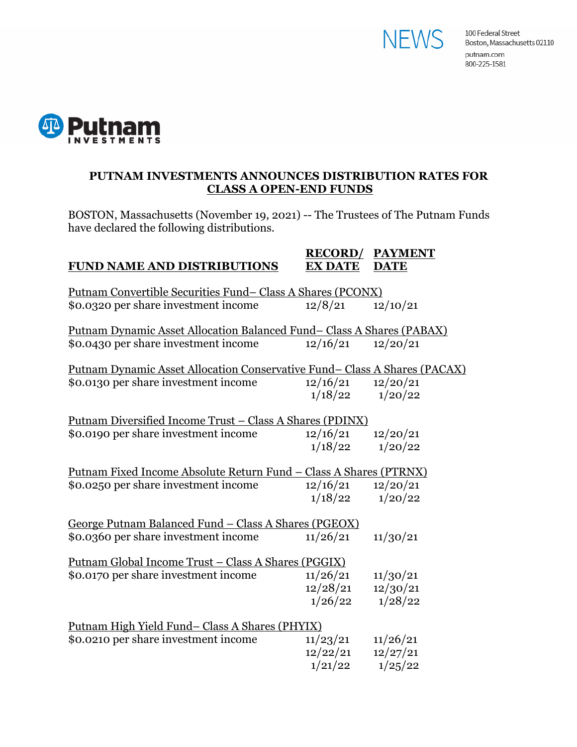



# **PUTNAM INVESTMENTS ANNOUNCES DISTRIBUTION RATES FOR CLASS A OPEN-END FUNDS**

BOSTON, Massachusetts (November 19, 2021) -- The Trustees of The Putnam Funds have declared the following distributions.

### **RECORD/ PAYMENT FUND NAME AND DISTRIBUTIONS EX DATE DATE**

| <u>Putnam Convertible Securities Fund-Class A Shares (PCONX)</u>                  |          |          |  |  |
|-----------------------------------------------------------------------------------|----------|----------|--|--|
| \$0.0320 per share investment income                                              | 12/8/21  | 12/10/21 |  |  |
| Putnam Dynamic Asset Allocation Balanced Fund-Class A Shares (PABAX)              |          |          |  |  |
| \$0.0430 per share investment income                                              | 12/16/21 | 12/20/21 |  |  |
| <u> Putnam Dynamic Asset Allocation Conservative Fund– Class A Shares (PACAX)</u> |          |          |  |  |
| \$0.0130 per share investment income                                              | 12/16/21 | 12/20/21 |  |  |
|                                                                                   | 1/18/22  | 1/20/22  |  |  |
| <u> Putnam Diversified Income Trust – Class A Shares (PDINX)</u>                  |          |          |  |  |
| \$0.0190 per share investment income                                              | 12/16/21 | 12/20/21 |  |  |
|                                                                                   | 1/18/22  | 1/20/22  |  |  |
| Putnam Fixed Income Absolute Return Fund - Class A Shares (PTRNX)                 |          |          |  |  |
| \$0.0250 per share investment income                                              | 12/16/21 | 12/20/21 |  |  |
|                                                                                   | 1/18/22  | 1/20/22  |  |  |
| George Putnam Balanced Fund - Class A Shares (PGEOX)                              |          |          |  |  |
| \$0.0360 per share investment income                                              | 11/26/21 | 11/30/21 |  |  |
| <u> Putnam Global Income Trust – Class A Shares (PGGIX)</u>                       |          |          |  |  |
| \$0.0170 per share investment income                                              | 11/26/21 | 11/30/21 |  |  |
|                                                                                   | 12/28/21 | 12/30/21 |  |  |
|                                                                                   | 1/26/22  | 1/28/22  |  |  |
| <u>Putnam High Yield Fund– Class A Shares (PHYIX)</u>                             |          |          |  |  |
| \$0.0210 per share investment income                                              | 11/23/21 | 11/26/21 |  |  |
|                                                                                   | 12/22/21 | 12/27/21 |  |  |
|                                                                                   | 1/21/22  | 1/25/22  |  |  |
|                                                                                   |          |          |  |  |